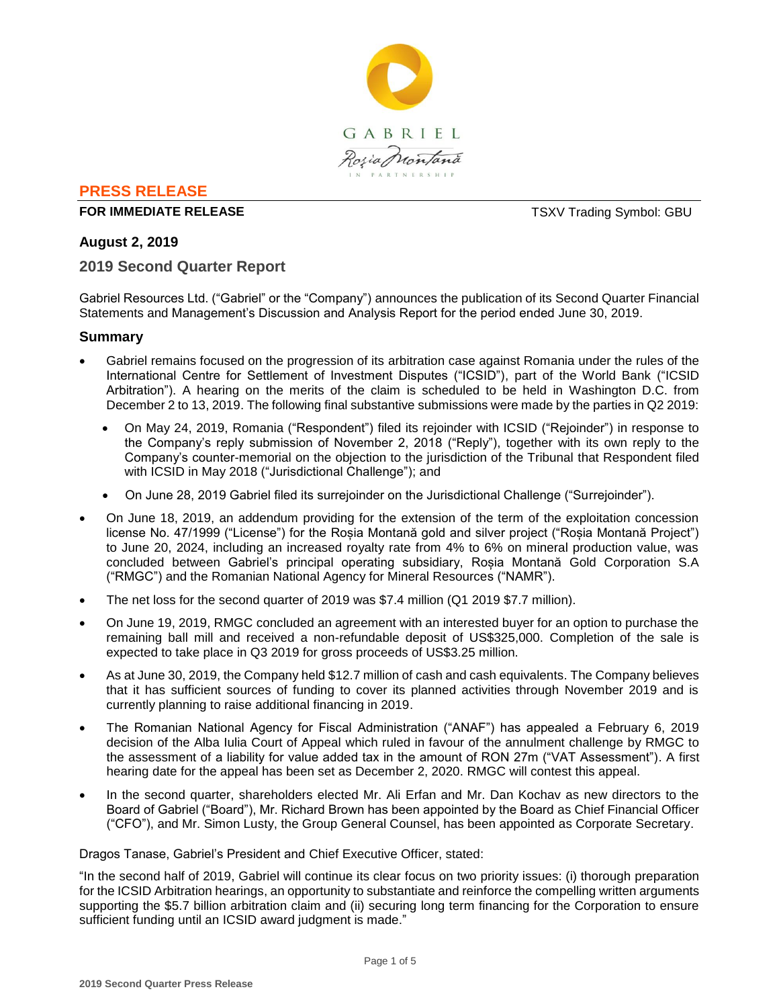

# **PRESS RELEASE**

### **FOR IMMEDIATE RELEASE TEXV Trading Symbol: GBU**

# **August 2, 2019**

## **2019 Second Quarter Report**

Gabriel Resources Ltd. ("Gabriel" or the "Company") announces the publication of its Second Quarter Financial Statements and Management's Discussion and Analysis Report for the period ended June 30, 2019.

## **Summary**

- Gabriel remains focused on the progression of its arbitration case against Romania under the rules of the International Centre for Settlement of Investment Disputes ("ICSID"), part of the World Bank ("ICSID Arbitration"). A hearing on the merits of the claim is scheduled to be held in Washington D.C. from December 2 to 13, 2019. The following final substantive submissions were made by the parties in Q2 2019:
	- On May 24, 2019, Romania ("Respondent") filed its rejoinder with ICSID ("Rejoinder") in response to the Company's reply submission of November 2, 2018 ("Reply"), together with its own reply to the Company's counter-memorial on the objection to the jurisdiction of the Tribunal that Respondent filed with ICSID in May 2018 ("Jurisdictional Challenge"); and
	- On June 28, 2019 Gabriel filed its surrejoinder on the Jurisdictional Challenge ("Surrejoinder").
- On June 18, 2019, an addendum providing for the extension of the term of the exploitation concession license No. 47/1999 ("License") for the Roșia Montană gold and silver project ("Roșia Montană Project") to June 20, 2024, including an increased royalty rate from 4% to 6% on mineral production value, was concluded between Gabriel's principal operating subsidiary, Roșia Montană Gold Corporation S.A ("RMGC") and the Romanian National Agency for Mineral Resources ("NAMR").
- The net loss for the second quarter of 2019 was \$7.4 million (Q1 2019 \$7.7 million).
- On June 19, 2019, RMGC concluded an agreement with an interested buyer for an option to purchase the remaining ball mill and received a non-refundable deposit of US\$325,000. Completion of the sale is expected to take place in Q3 2019 for gross proceeds of US\$3.25 million.
- As at June 30, 2019, the Company held \$12.7 million of cash and cash equivalents. The Company believes that it has sufficient sources of funding to cover its planned activities through November 2019 and is currently planning to raise additional financing in 2019.
- The Romanian National Agency for Fiscal Administration ("ANAF") has appealed a February 6, 2019 decision of the Alba Iulia Court of Appeal which ruled in favour of the annulment challenge by RMGC to the assessment of a liability for value added tax in the amount of RON 27m ("VAT Assessment"). A first hearing date for the appeal has been set as December 2, 2020. RMGC will contest this appeal.
- In the second quarter, shareholders elected Mr. Ali Erfan and Mr. Dan Kochav as new directors to the Board of Gabriel ("Board"), Mr. Richard Brown has been appointed by the Board as Chief Financial Officer ("CFO"), and Mr. Simon Lusty, the Group General Counsel, has been appointed as Corporate Secretary.

Dragos Tanase, Gabriel's President and Chief Executive Officer, stated:

"In the second half of 2019, Gabriel will continue its clear focus on two priority issues: (i) thorough preparation for the ICSID Arbitration hearings, an opportunity to substantiate and reinforce the compelling written arguments supporting the \$5.7 billion arbitration claim and (ii) securing long term financing for the Corporation to ensure sufficient funding until an ICSID award judgment is made."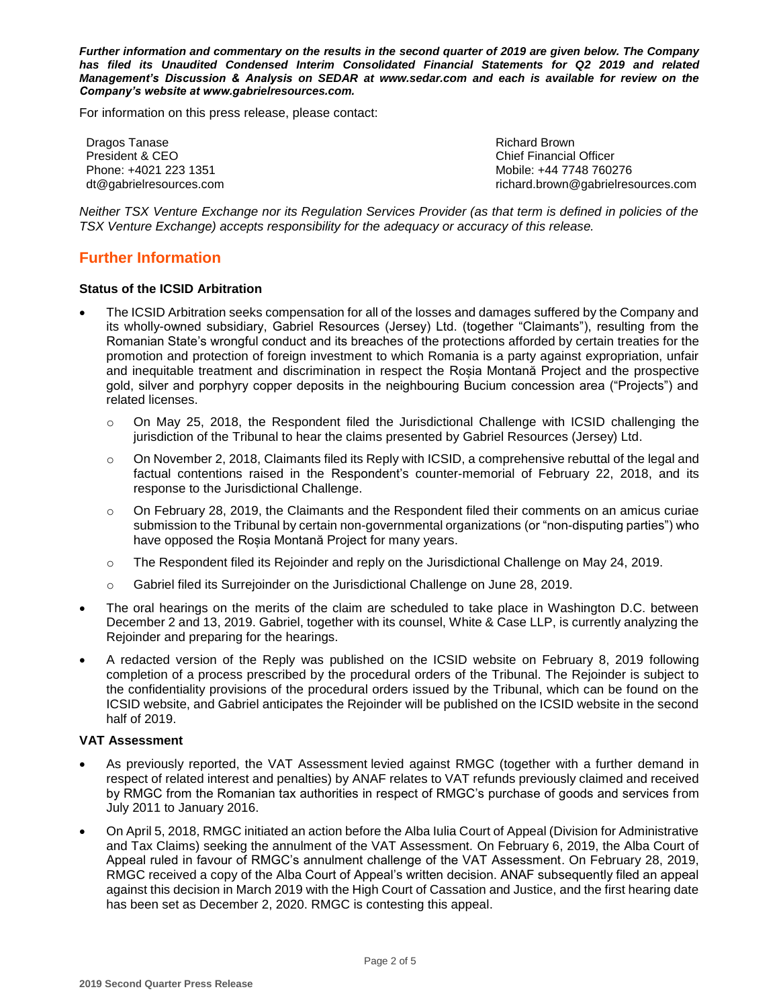*Further information and commentary on the results in the second quarter of 2019 are given below. The Company has filed its Unaudited Condensed Interim Consolidated Financial Statements for Q2 2019 and related Management's Discussion & Analysis on SEDAR at www.sedar.com and each is available for review on the Company's website at www.gabrielresources.com.* 

For information on this press release, please contact:

Dragos Tanase President & CEO Phone: +4021 223 1351 dt@gabrielresources.com Richard Brown Chief Financial Officer Mobile: +44 7748 760276 richard.brown@gabrielresources.com

*Neither TSX Venture Exchange nor its Regulation Services Provider (as that term is defined in policies of the TSX Venture Exchange) accepts responsibility for the adequacy or accuracy of this release.*

# **Further Information**

### **Status of the ICSID Arbitration**

- The ICSID Arbitration seeks compensation for all of the losses and damages suffered by the Company and its wholly-owned subsidiary, Gabriel Resources (Jersey) Ltd. (together "Claimants"), resulting from the Romanian State's wrongful conduct and its breaches of the protections afforded by certain treaties for the promotion and protection of foreign investment to which Romania is a party against expropriation, unfair and inequitable treatment and discrimination in respect the Roșia Montană Project and the prospective gold, silver and porphyry copper deposits in the neighbouring Bucium concession area ("Projects") and related licenses.
	- $\circ$  On May 25, 2018, the Respondent filed the Jurisdictional Challenge with ICSID challenging the jurisdiction of the Tribunal to hear the claims presented by Gabriel Resources (Jersey) Ltd.
	- $\circ$  On November 2, 2018, Claimants filed its Reply with ICSID, a comprehensive rebuttal of the legal and factual contentions raised in the Respondent's counter-memorial of February 22, 2018, and its response to the Jurisdictional Challenge.
	- $\circ$  On February 28, 2019, the Claimants and the Respondent filed their comments on an amicus curiae submission to the Tribunal by certain non-governmental organizations (or "non-disputing parties") who have opposed the Rosia Montană Project for many years.
	- o The Respondent filed its Rejoinder and reply on the Jurisdictional Challenge on May 24, 2019.
	- o Gabriel filed its Surrejoinder on the Jurisdictional Challenge on June 28, 2019.
- The oral hearings on the merits of the claim are scheduled to take place in Washington D.C. between December 2 and 13, 2019. Gabriel, together with its counsel, White & Case LLP, is currently analyzing the Rejoinder and preparing for the hearings.
- A redacted version of the Reply was published on the ICSID website on February 8, 2019 following completion of a process prescribed by the procedural orders of the Tribunal. The Rejoinder is subject to the confidentiality provisions of the procedural orders issued by the Tribunal, which can be found on the ICSID website, and Gabriel anticipates the Rejoinder will be published on the ICSID website in the second half of 2019.

### **VAT Assessment**

- As previously reported, the VAT Assessment levied against RMGC (together with a further demand in respect of related interest and penalties) by ANAF relates to VAT refunds previously claimed and received by RMGC from the Romanian tax authorities in respect of RMGC's purchase of goods and services from July 2011 to January 2016.
- On April 5, 2018, RMGC initiated an action before the Alba Iulia Court of Appeal (Division for Administrative and Tax Claims) seeking the annulment of the VAT Assessment. On February 6, 2019, the Alba Court of Appeal ruled in favour of RMGC's annulment challenge of the VAT Assessment. On February 28, 2019, RMGC received a copy of the Alba Court of Appeal's written decision. ANAF subsequently filed an appeal against this decision in March 2019 with the High Court of Cassation and Justice, and the first hearing date has been set as December 2, 2020. RMGC is contesting this appeal.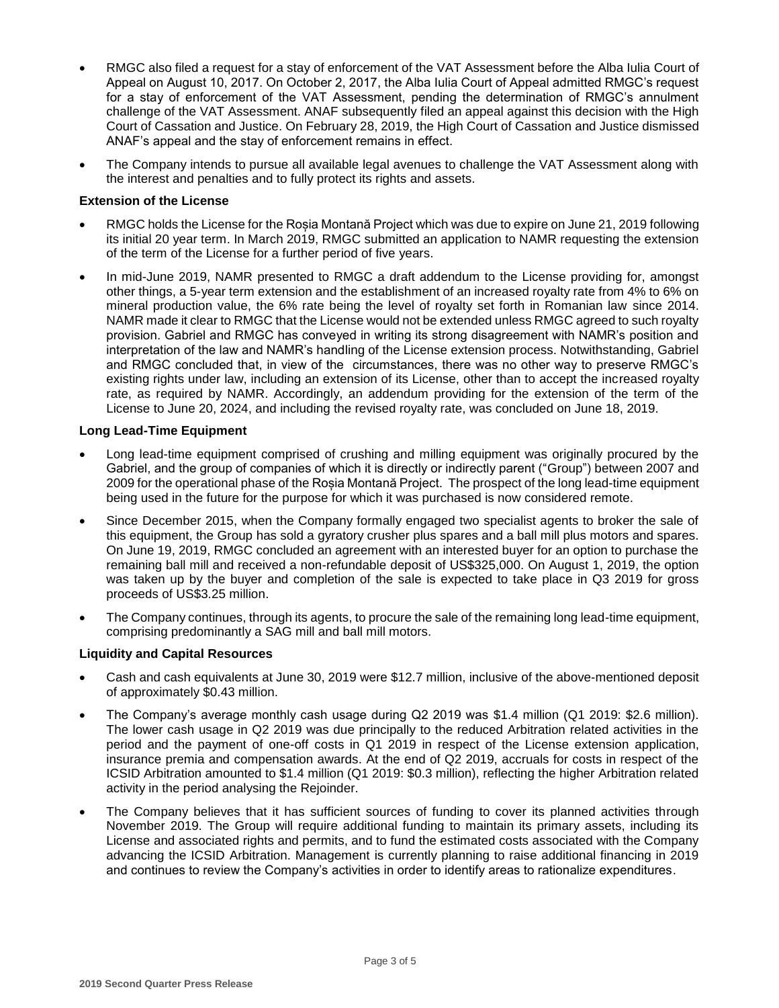- RMGC also filed a request for a stay of enforcement of the VAT Assessment before the Alba Iulia Court of Appeal on August 10, 2017. On October 2, 2017, the Alba Iulia Court of Appeal admitted RMGC's request for a stay of enforcement of the VAT Assessment, pending the determination of RMGC's annulment challenge of the VAT Assessment. ANAF subsequently filed an appeal against this decision with the High Court of Cassation and Justice. On February 28, 2019, the High Court of Cassation and Justice dismissed ANAF's appeal and the stay of enforcement remains in effect.
- The Company intends to pursue all available legal avenues to challenge the VAT Assessment along with the interest and penalties and to fully protect its rights and assets.

### **Extension of the License**

- RMGC holds the License for the Roșia Montană Project which was due to expire on June 21, 2019 following its initial 20 year term. In March 2019, RMGC submitted an application to NAMR requesting the extension of the term of the License for a further period of five years.
- In mid-June 2019, NAMR presented to RMGC a draft addendum to the License providing for, amongst other things, a 5-year term extension and the establishment of an increased royalty rate from 4% to 6% on mineral production value, the 6% rate being the level of royalty set forth in Romanian law since 2014. NAMR made it clear to RMGC that the License would not be extended unless RMGC agreed to such royalty provision. Gabriel and RMGC has conveyed in writing its strong disagreement with NAMR's position and interpretation of the law and NAMR's handling of the License extension process. Notwithstanding, Gabriel and RMGC concluded that, in view of the circumstances, there was no other way to preserve RMGC's existing rights under law, including an extension of its License, other than to accept the increased royalty rate, as required by NAMR. Accordingly, an addendum providing for the extension of the term of the License to June 20, 2024, and including the revised royalty rate, was concluded on June 18, 2019.

### **Long Lead-Time Equipment**

- Long lead-time equipment comprised of crushing and milling equipment was originally procured by the Gabriel, and the group of companies of which it is directly or indirectly parent ("Group") between 2007 and 2009 for the operational phase of the Roșia Montană Project. The prospect of the long lead-time equipment being used in the future for the purpose for which it was purchased is now considered remote.
- Since December 2015, when the Company formally engaged two specialist agents to broker the sale of this equipment, the Group has sold a gyratory crusher plus spares and a ball mill plus motors and spares. On June 19, 2019, RMGC concluded an agreement with an interested buyer for an option to purchase the remaining ball mill and received a non-refundable deposit of US\$325,000. On August 1, 2019, the option was taken up by the buyer and completion of the sale is expected to take place in Q3 2019 for gross proceeds of US\$3.25 million.
- The Company continues, through its agents, to procure the sale of the remaining long lead-time equipment, comprising predominantly a SAG mill and ball mill motors.

### **Liquidity and Capital Resources**

- Cash and cash equivalents at June 30, 2019 were \$12.7 million, inclusive of the above-mentioned deposit of approximately \$0.43 million.
- The Company's average monthly cash usage during Q2 2019 was \$1.4 million (Q1 2019: \$2.6 million). The lower cash usage in Q2 2019 was due principally to the reduced Arbitration related activities in the period and the payment of one-off costs in Q1 2019 in respect of the License extension application, insurance premia and compensation awards. At the end of Q2 2019, accruals for costs in respect of the ICSID Arbitration amounted to \$1.4 million (Q1 2019: \$0.3 million), reflecting the higher Arbitration related activity in the period analysing the Rejoinder.
- The Company believes that it has sufficient sources of funding to cover its planned activities through November 2019. The Group will require additional funding to maintain its primary assets, including its License and associated rights and permits, and to fund the estimated costs associated with the Company advancing the ICSID Arbitration. Management is currently planning to raise additional financing in 2019 and continues to review the Company's activities in order to identify areas to rationalize expenditures.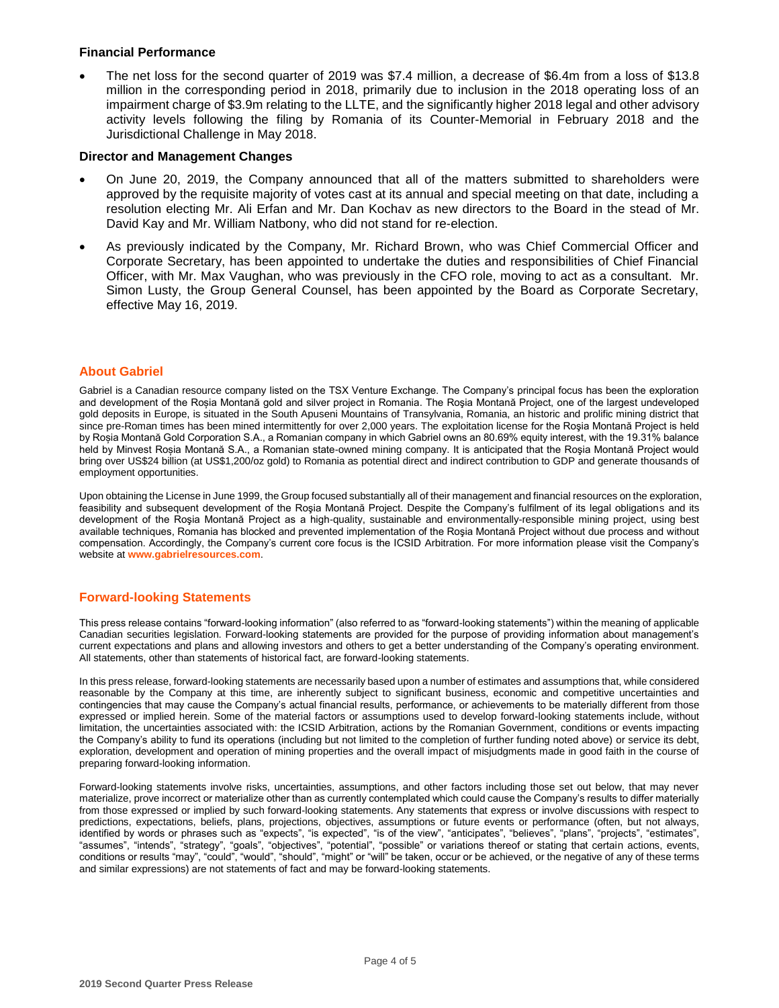#### **Financial Performance**

 The net loss for the second quarter of 2019 was \$7.4 million, a decrease of \$6.4m from a loss of \$13.8 million in the corresponding period in 2018, primarily due to inclusion in the 2018 operating loss of an impairment charge of \$3.9m relating to the LLTE, and the significantly higher 2018 legal and other advisory activity levels following the filing by Romania of its Counter-Memorial in February 2018 and the Jurisdictional Challenge in May 2018.

#### **Director and Management Changes**

- On June 20, 2019, the Company announced that all of the matters submitted to shareholders were approved by the requisite majority of votes cast at its annual and special meeting on that date, including a resolution electing Mr. Ali Erfan and Mr. Dan Kochav as new directors to the Board in the stead of Mr. David Kay and Mr. William Natbony, who did not stand for re-election.
- As previously indicated by the Company, Mr. Richard Brown, who was Chief Commercial Officer and Corporate Secretary, has been appointed to undertake the duties and responsibilities of Chief Financial Officer, with Mr. Max Vaughan, who was previously in the CFO role, moving to act as a consultant. Mr. Simon Lusty, the Group General Counsel, has been appointed by the Board as Corporate Secretary, effective May 16, 2019.

#### **About Gabriel**

Gabriel is a Canadian resource company listed on the TSX Venture Exchange. The Company's principal focus has been the exploration and development of the Roșia Montană gold and silver project in Romania. The Roşia Montană Project, one of the largest undeveloped gold deposits in Europe, is situated in the South Apuseni Mountains of Transylvania, Romania, an historic and prolific mining district that since pre-Roman times has been mined intermittently for over 2,000 years. The exploitation license for the Roşia Montană Project is held by Roșia Montană Gold Corporation S.A., a Romanian company in which Gabriel owns an 80.69% equity interest, with the 19.31% balance held by Minvest Roșia Montană S.A., a Romanian state-owned mining company. It is anticipated that the Roşia Montană Project would bring over US\$24 billion (at US\$1,200/oz gold) to Romania as potential direct and indirect contribution to GDP and generate thousands of employment opportunities.

Upon obtaining the License in June 1999, the Group focused substantially all of their management and financial resources on the exploration, feasibility and subsequent development of the Roşia Montană Project. Despite the Company's fulfilment of its legal obligations and its development of the Roşia Montană Project as a high-quality, sustainable and environmentally-responsible mining project, using best available techniques, Romania has blocked and prevented implementation of the Roşia Montană Project without due process and without compensation. Accordingly, the Company's current core focus is the ICSID Arbitration. For more information please visit the Company's website at **www.gabrielresources.com**.

### **Forward-looking Statements**

This press release contains "forward-looking information" (also referred to as "forward-looking statements") within the meaning of applicable Canadian securities legislation. Forward-looking statements are provided for the purpose of providing information about management's current expectations and plans and allowing investors and others to get a better understanding of the Company's operating environment. All statements, other than statements of historical fact, are forward-looking statements.

In this press release, forward-looking statements are necessarily based upon a number of estimates and assumptions that, while considered reasonable by the Company at this time, are inherently subject to significant business, economic and competitive uncertainties and contingencies that may cause the Company's actual financial results, performance, or achievements to be materially different from those expressed or implied herein. Some of the material factors or assumptions used to develop forward-looking statements include, without limitation, the uncertainties associated with: the ICSID Arbitration, actions by the Romanian Government, conditions or events impacting the Company's ability to fund its operations (including but not limited to the completion of further funding noted above) or service its debt, exploration, development and operation of mining properties and the overall impact of misjudgments made in good faith in the course of preparing forward-looking information.

Forward-looking statements involve risks, uncertainties, assumptions, and other factors including those set out below, that may never materialize, prove incorrect or materialize other than as currently contemplated which could cause the Company's results to differ materially from those expressed or implied by such forward-looking statements. Any statements that express or involve discussions with respect to predictions, expectations, beliefs, plans, projections, objectives, assumptions or future events or performance (often, but not always, identified by words or phrases such as "expects", "is expected", "is of the view", "anticipates", "believes", "plans", "projects", "estimates", "assumes", "intends", "strategy", "goals", "objectives", "potential", "possible" or variations thereof or stating that certain actions, events, conditions or results "may", "could", "would", "should", "might" or "will" be taken, occur or be achieved, or the negative of any of these terms and similar expressions) are not statements of fact and may be forward-looking statements.